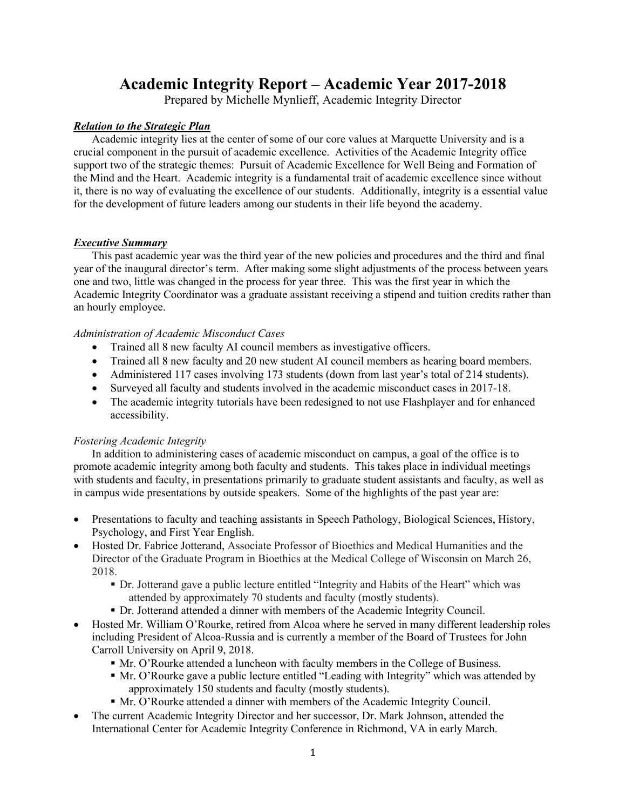# **Academic Integrity Report – Academic Year 2017-2018**

Prepared by Michelle Mynlieff, Academic Integrity Director

## *Relation to the Strategic Plan*

Academic integrity lies at the center of some of our core values at Marquette University and is a crucial component in the pursuit of academic excellence. Activities of the Academic Integrity office support two of the strategic themes: Pursuit of Academic Excellence for Well Being and Formation of the Mind and the Heart. Academic integrity is a fundamental trait of academic excellence since without it, there is no way of evaluating the excellence of our students. Additionally, integrity is a essential value for the development of future leaders among our students in their life beyond the academy.

### *Executive Summary*

This past academic year was the third year of the new policies and procedures and the third and final year of the inaugural director's term. After making some slight adjustments of the process between years one and two, little was changed in the process for year three. This was the first year in which the Academic Integrity Coordinator was a graduate assistant receiving a stipend and tuition credits rather than an hourly employee.

### *Administration of Academic Misconduct Cases*

- Trained all 8 new faculty AI council members as investigative officers.
- Trained all 8 new faculty and 20 new student AI council members as hearing board members.
- Administered 117 cases involving 173 students (down from last year's total of 214 students).
- Surveyed all faculty and students involved in the academic misconduct cases in 2017-18.
- The academic integrity tutorials have been redesigned to not use Flashplayer and for enhanced accessibility.

### *Fostering Academic Integrity*

In addition to administering cases of academic misconduct on campus, a goal of the office is to promote academic integrity among both faculty and students. This takes place in individual meetings with students and faculty, in presentations primarily to graduate student assistants and faculty, as well as in campus wide presentations by outside speakers. Some of the highlights of the past year are:

- Presentations to faculty and teaching assistants in Speech Pathology, Biological Sciences, History, Psychology, and First Year English.
- Hosted Dr. Fabrice Jotterand, Associate Professor of Bioethics and Medical Humanities and the Director of the Graduate Program in Bioethics at the Medical College of Wisconsin on March 26, 2018.
	- § Dr. Jotterand gave a public lecture entitled "Integrity and Habits of the Heart" which was attended by approximately 70 students and faculty (mostly students).
	- § Dr. Jotterand attended a dinner with members of the Academic Integrity Council.
- Hosted Mr. William O'Rourke, retired from Alcoa where he served in many different leadership roles including President of Alcoa-Russia and is currently a member of the Board of Trustees for John Carroll University on April 9, 2018.
	- § Mr. O'Rourke attended a luncheon with faculty members in the College of Business.
	- § Mr. O'Rourke gave a public lecture entitled "Leading with Integrity" which was attended by approximately 150 students and faculty (mostly students).
	- § Mr. O'Rourke attended a dinner with members of the Academic Integrity Council.
- The current Academic Integrity Director and her successor, Dr. Mark Johnson, attended the International Center for Academic Integrity Conference in Richmond, VA in early March.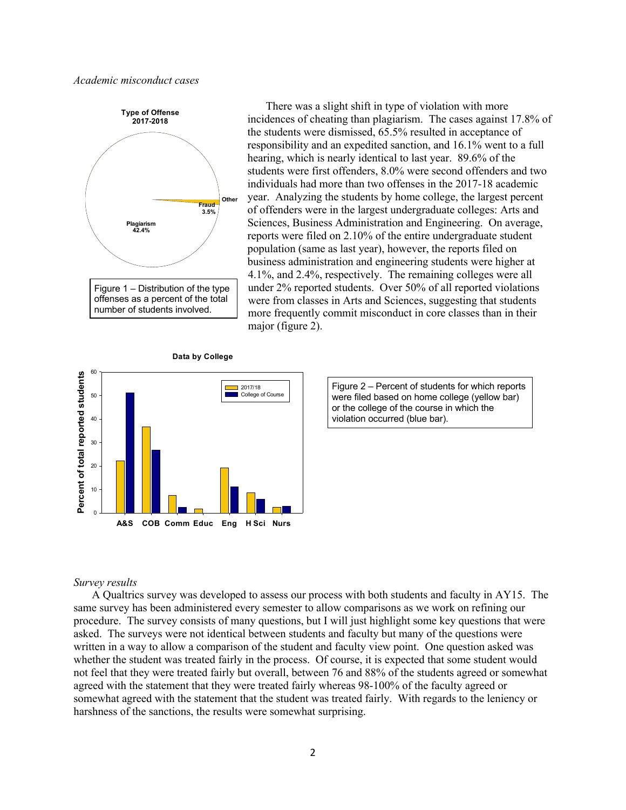*Academic misconduct cases*



There was a slight shift in type of violation with more incidences of cheating than plagiarism. The cases against 17.8% of the students were dismissed, 65.5% resulted in acceptance of responsibility and an expedited sanction, and 16.1% went to a full hearing, which is nearly identical to last year. 89.6% of the students were first offenders, 8.0% were second offenders and two individuals had more than two offenses in the 2017-18 academic year. Analyzing the students by home college, the largest percent of offenders were in the largest undergraduate colleges: Arts and Sciences, Business Administration and Engineering. On average, reports were filed on 2.10% of the entire undergraduate student population (same as last year), however, the reports filed on business administration and engineering students were higher at 4.1%, and 2.4%, respectively. The remaining colleges were all under 2% reported students. Over 50% of all reported violations were from classes in Arts and Sciences, suggesting that students more frequently commit misconduct in core classes than in their major (figure 2).



Figure 2 – Percent of students for which reports were filed based on home college (yellow bar) or the college of the course in which the violation occurred (blue bar).

#### *Survey results*

A Qualtrics survey was developed to assess our process with both students and faculty in AY15. The same survey has been administered every semester to allow comparisons as we work on refining our procedure. The survey consists of many questions, but I will just highlight some key questions that were asked. The surveys were not identical between students and faculty but many of the questions were written in a way to allow a comparison of the student and faculty view point. One question asked was whether the student was treated fairly in the process. Of course, it is expected that some student would not feel that they were treated fairly but overall, between 76 and 88% of the students agreed or somewhat agreed with the statement that they were treated fairly whereas 98-100% of the faculty agreed or somewhat agreed with the statement that the student was treated fairly. With regards to the leniency or harshness of the sanctions, the results were somewhat surprising.